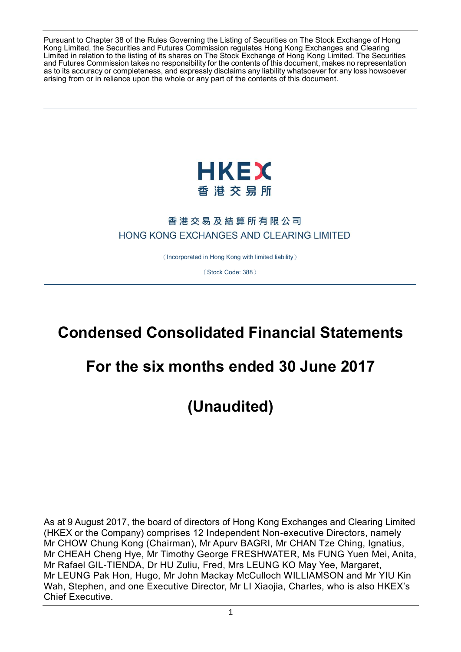Pursuant to Chapter 38 of the Rules Governing the Listing of Securities on The Stock Exchange of Hong Kong Limited, the Securities and Futures Commission regulates Hong Kong Exchanges and Clearing Limited in relation to the listing of its shares on The Stock Exchange of Hong Kong Limited. The Securities and Futures Commission takes no responsibility for the contents of this document, makes no representation as to its accuracy or completeness, and expressly disclaims any liability whatsoever for any loss howsoever arising from or in reliance upon the whole or any part of the contents of this document.



# 香港交易及結算所有限公司 HONG KONG EXCHANGES AND CLEARING LIMITED

(Incorporated in Hong Kong with limited liability)

(Stock Code: 388)

# **Condensed Consolidated Financial Statements**

# **For the six months ended 30 June 2017**

**(Unaudited)**

As at 9 August 2017, the board of directors of Hong Kong Exchanges and Clearing Limited (HKEX or the Company) comprises 12 Independent Non-executive Directors, namely Mr CHOW Chung Kong (Chairman), Mr Apurv BAGRI, Mr CHAN Tze Ching, Ignatius, Mr CHEAH Cheng Hye, Mr Timothy George FRESHWATER, Ms FUNG Yuen Mei, Anita, Mr Rafael GIL-TIENDA, Dr HU Zuliu, Fred, Mrs LEUNG KO May Yee, Margaret, Mr LEUNG Pak Hon, Hugo, Mr John Mackay McCulloch WILLIAMSON and Mr YIU Kin Wah, Stephen, and one Executive Director, Mr LI Xiaojia, Charles, who is also HKEX's Chief Executive.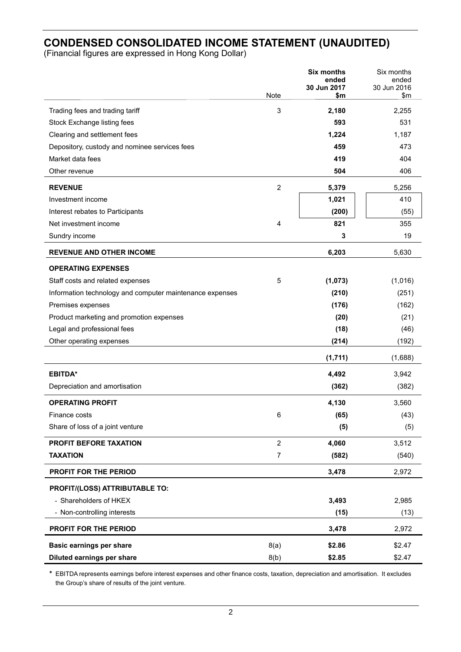# **CONDENSED CONSOLIDATED INCOME STATEMENT (UNAUDITED)**

(Financial figures are expressed in Hong Kong Dollar)

|                                                          |                | <b>Six months</b><br>ended | Six months<br>ended |
|----------------------------------------------------------|----------------|----------------------------|---------------------|
|                                                          | Note           | 30 Jun 2017<br>\$m         | 30 Jun 2016<br>\$m  |
| Trading fees and trading tariff                          | 3              | 2,180                      | 2,255               |
| Stock Exchange listing fees                              |                | 593                        | 531                 |
| Clearing and settlement fees                             |                | 1,224                      | 1,187               |
| Depository, custody and nominee services fees            |                | 459                        | 473                 |
| Market data fees                                         |                | 419                        | 404                 |
| Other revenue                                            |                | 504                        | 406                 |
| <b>REVENUE</b>                                           | $\overline{2}$ | 5,379                      | 5,256               |
| Investment income                                        |                | 1,021                      | 410                 |
| Interest rebates to Participants                         |                | (200)                      | (55)                |
| Net investment income                                    | 4              | 821                        | 355                 |
| Sundry income                                            |                | 3                          | 19                  |
| <b>REVENUE AND OTHER INCOME</b>                          |                | 6,203                      | 5,630               |
| <b>OPERATING EXPENSES</b>                                |                |                            |                     |
| Staff costs and related expenses                         | 5              | (1,073)                    | (1,016)             |
| Information technology and computer maintenance expenses |                | (210)                      | (251)               |
| Premises expenses                                        |                | (176)                      | (162)               |
| Product marketing and promotion expenses                 |                | (20)                       | (21)                |
| Legal and professional fees                              |                | (18)                       | (46)                |
| Other operating expenses                                 |                | (214)                      | (192)               |
|                                                          |                | (1,711)                    | (1,688)             |
| <b>EBITDA*</b>                                           |                | 4,492                      | 3,942               |
| Depreciation and amortisation                            |                | (362)                      | (382)               |
| <b>OPERATING PROFIT</b>                                  |                | 4,130                      | 3,560               |
| Finance costs                                            | 6              | (65)                       | (43)                |
| Share of loss of a joint venture                         |                | (5)                        | (5)                 |
| PROFIT BEFORE TAXATION                                   | $\overline{2}$ | 4,060                      | 3,512               |
| <b>TAXATION</b>                                          | 7              | (582)                      | (540)               |
| <b>PROFIT FOR THE PERIOD</b>                             |                | 3,478                      | 2,972               |
| PROFIT/(LOSS) ATTRIBUTABLE TO:                           |                |                            |                     |
| - Shareholders of HKEX                                   |                | 3,493                      | 2,985               |
| - Non-controlling interests                              |                | (15)                       | (13)                |
| PROFIT FOR THE PERIOD                                    |                | 3,478                      | 2,972               |
| <b>Basic earnings per share</b>                          | 8(a)           | \$2.86                     | \$2.47              |
| Diluted earnings per share                               | 8(b)           | \$2.85                     | \$2.47              |

**\*** EBITDA represents earnings before interest expenses and other finance costs, taxation, depreciation and amortisation. It excludes the Group's share of results of the joint venture.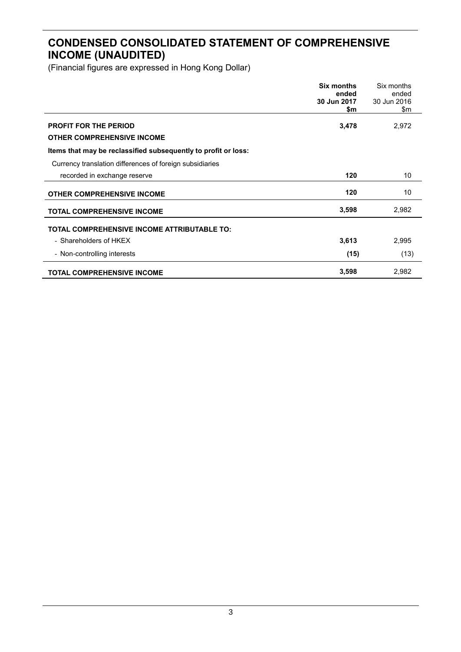# **CONDENSED CONSOLIDATED STATEMENT OF COMPREHENSIVE INCOME (UNAUDITED)**

|                                                                   | <b>Six months</b><br>ended<br>30 Jun 2017<br>\$m | Six months<br>ended<br>30 Jun 2016<br>\$m |
|-------------------------------------------------------------------|--------------------------------------------------|-------------------------------------------|
| <b>PROFIT FOR THE PERIOD</b><br><b>OTHER COMPREHENSIVE INCOME</b> | 3,478                                            | 2,972                                     |
| Items that may be reclassified subsequently to profit or loss:    |                                                  |                                           |
| Currency translation differences of foreign subsidiaries          |                                                  |                                           |
| recorded in exchange reserve                                      | 120                                              | 10                                        |
| <b>OTHER COMPREHENSIVE INCOME</b>                                 | 120                                              | 10                                        |
| <b>TOTAL COMPREHENSIVE INCOME</b>                                 | 3,598                                            | 2,982                                     |
| <b>TOTAL COMPREHENSIVE INCOME ATTRIBUTABLE TO:</b>                |                                                  |                                           |
| - Shareholders of HKEX                                            | 3,613                                            | 2,995                                     |
| - Non-controlling interests                                       | (15)                                             | (13)                                      |
| <b>TOTAL COMPREHENSIVE INCOME</b>                                 | 3,598                                            | 2,982                                     |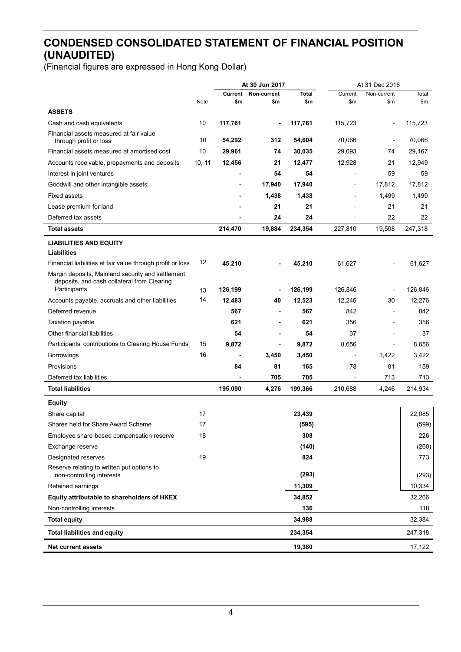# **CONDENSED CONSOLIDATED STATEMENT OF FINANCIAL POSITION (UNAUDITED)**

|                                                             |        | At 30 Jun 2017           |                          | At 31 Dec 2016 |                |                |         |
|-------------------------------------------------------------|--------|--------------------------|--------------------------|----------------|----------------|----------------|---------|
|                                                             |        | Current                  | Non-current              | Total          | Current        | Non-current    | Total   |
| <b>ASSETS</b>                                               | Note   | \$m                      | \$m                      | \$m            | \$m            | \$m            | \$m     |
| Cash and cash equivalents                                   | 10     | 117,761                  | $\blacksquare$           | 117,761        | 115,723        | ä,             | 115,723 |
| Financial assets measured at fair value                     |        |                          |                          |                |                |                |         |
| through profit or loss                                      | 10     | 54,292                   | 312                      | 54,604         | 70,066         | $\blacksquare$ | 70,066  |
| Financial assets measured at amortised cost                 | 10     | 29,961                   | 74                       | 30,035         | 29,093         | 74             | 29,167  |
| Accounts receivable, prepayments and deposits               | 10, 11 | 12,456                   | 21                       | 12,477         | 12,928         | 21             | 12,949  |
| Interest in joint ventures                                  |        |                          | 54                       | 54             |                | 59             | 59      |
| Goodwill and other intangible assets                        |        | $\blacksquare$           | 17,940                   | 17,940         | $\blacksquare$ | 17,812         | 17,812  |
| <b>Fixed assets</b>                                         |        |                          | 1,438                    | 1,438          |                | 1,499          | 1,499   |
| Lease premium for land                                      |        |                          | 21                       | 21             |                | 21             | 21      |
| Deferred tax assets                                         |        |                          | 24                       | 24             |                | 22             | 22      |
| <b>Total assets</b>                                         |        | 214,470                  | 19,884                   | 234,354        | 227,810        | 19,508         | 247,318 |
| <b>LIABILITIES AND EQUITY</b>                               |        |                          |                          |                |                |                |         |
| Liabilities                                                 |        |                          |                          |                |                |                |         |
| Financial liabilities at fair value through profit or loss  | 12     | 45,210                   |                          | 45,210         | 61,627         |                | 61,627  |
| Margin deposits, Mainland security and settlement           |        |                          |                          |                |                |                |         |
| deposits, and cash collateral from Clearing<br>Participants | 13     | 126,199                  | $\overline{\phantom{a}}$ | 126,199        | 126,846        | $\overline{a}$ | 126,846 |
| Accounts payable, accruals and other liabilities            | 14     | 12,483                   | 40                       | 12,523         | 12,246         | 30             | 12,276  |
| Deferred revenue                                            |        | 567                      | $\overline{\phantom{a}}$ | 567            | 842            | $\blacksquare$ | 842     |
| Taxation payable                                            |        | 621                      | $\blacksquare$           | 621            | 356            | $\blacksquare$ | 356     |
| Other financial liabilities                                 |        | 54                       | $\blacksquare$           | 54             | 37             | $\blacksquare$ | 37      |
| Participants' contributions to Clearing House Funds         | 15     | 9,872                    | $\blacksquare$           | 9,872          | 8,656          | $\blacksquare$ | 8,656   |
| Borrowings                                                  | 16     | $\overline{\phantom{a}}$ | 3,450                    | 3,450          |                | 3,422          | 3,422   |
| Provisions                                                  |        | 84                       | 81                       | 165            | 78             | 81             | 159     |
| Deferred tax liabilities                                    |        |                          | 705                      | 705            |                | 713            | 713     |
| <b>Total liabilities</b>                                    |        | 195,090                  | 4,276                    | 199,366        | 210,688        | 4,246          | 214,934 |
| <b>Equity</b>                                               |        |                          |                          |                |                |                |         |
| Share capital                                               | 17     |                          |                          | 23,439         |                |                | 22,085  |
| Shares held for Share Award Scheme                          | 17     |                          |                          | (595)          |                |                | (599)   |
| Employee share-based compensation reserve                   | 18     |                          |                          | 308            |                |                | 226     |
| Exchange reserve                                            |        |                          |                          | (140)          |                |                | (260)   |
| Designated reserves                                         | 19     |                          |                          | 824            |                |                | 773     |
| Reserve relating to written put options to                  |        |                          |                          |                |                |                |         |
| non-controlling interests                                   |        |                          |                          | (293)          |                |                | (293)   |
| Retained earnings                                           |        |                          |                          | 11,309         |                |                | 10,334  |
| Equity attributable to shareholders of HKEX                 |        |                          |                          | 34,852         |                |                | 32,266  |
| Non-controlling interests                                   |        |                          |                          | 136            |                |                | 118     |
| <b>Total equity</b>                                         |        |                          |                          | 34,988         |                |                | 32,384  |
| <b>Total liabilities and equity</b>                         |        |                          |                          | 234,354        |                |                | 247,318 |
| <b>Net current assets</b>                                   |        |                          |                          | 19,380         |                |                | 17,122  |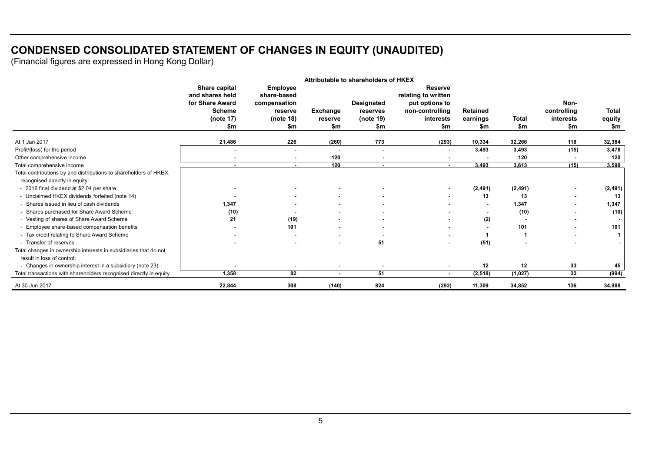# **CONDENSED CONSOLIDATED STATEMENT OF CHANGES IN EQUITY (UNAUDITED)**

|                                                                    | Attributable to shareholders of HKEX |                |                          |                   |                     |                 |              |                |                |
|--------------------------------------------------------------------|--------------------------------------|----------------|--------------------------|-------------------|---------------------|-----------------|--------------|----------------|----------------|
|                                                                    | Share capital                        | Employee       |                          |                   | <b>Reserve</b>      |                 |              |                |                |
|                                                                    | and shares held                      | share-based    |                          |                   | relating to written |                 |              |                |                |
|                                                                    | for Share Award                      | compensation   |                          | <b>Designated</b> | put options to      |                 |              | Non-           |                |
|                                                                    | <b>Scheme</b>                        | reserve        | <b>Exchange</b>          | reserves          | non-controlling     | <b>Retained</b> |              | controlling    | <b>Total</b>   |
|                                                                    | (note $17$ )                         | (note 18)      | reserve                  | (note 19)         | interests           | earnings        | <b>Total</b> | interests      | equity         |
|                                                                    | \$m                                  | \$m            | \$m                      | \$m               | \$m                 | \$m             | \$m          | \$m            | \$m            |
| At 1 Jan 2017                                                      | 21,486                               | 226            | (260)                    | 773               | (293)               | 10,334          | 32,266       | 118            | 32,384         |
| Profit/(loss) for the period                                       | $\blacksquare$                       | $\sim$         | $\overline{\phantom{a}}$ | $\blacksquare$    | $\sim$              | 3.493           | 3,493        | (15)           | 3,478          |
| Other comprehensive income                                         | $\sim$                               | $\sim$         | 120                      |                   | $\sim$              |                 | 120          |                | 120            |
| Total comprehensive income                                         | $\sim$                               | $\sim$         | 120                      | $\sim$            | $\sim$              | 3,493           | 3,613        | (15)           | 3,598          |
| Total contributions by and distributions to shareholders of HKEX,  |                                      |                |                          |                   |                     |                 |              |                |                |
| recognised directly in equity:                                     |                                      |                |                          |                   |                     |                 |              |                |                |
| - 2016 final dividend at \$2.04 per share                          |                                      |                |                          |                   | $\sim$              | (2, 491)        | (2, 491)     | $\sim$         | (2, 491)       |
| - Unclaimed HKEX dividends forfeited (note 14)                     |                                      |                |                          |                   |                     | 13              | 13           | $\blacksquare$ | 13             |
| - Shares issued in lieu of cash dividends                          | 1,347                                |                |                          |                   | $\sim$              |                 | 1,347        |                | 1,347          |
| - Shares purchased for Share Award Scheme                          | (10)                                 |                |                          |                   |                     |                 | (10)         |                | (10)           |
| - Vesting of shares of Share Award Scheme                          | 21                                   | (19)           |                          |                   | $\sim$              | (2)             |              |                | $\blacksquare$ |
| - Employee share-based compensation benefits                       |                                      | 101            |                          |                   | $\sim$              |                 | 101          |                | 101            |
| - Tax credit relating to Share Award Scheme                        |                                      | $\blacksquare$ | ٠                        |                   | $\sim$              |                 |              |                | 1 <sup>1</sup> |
| - Transfer of reserves                                             |                                      | $\blacksquare$ | ٠                        | 51                | $\blacksquare$      | (51)            |              |                | $\blacksquare$ |
| Total changes in ownership interests in subsidiaries that do not   |                                      |                |                          |                   |                     |                 |              |                |                |
| result in loss of control:                                         |                                      |                |                          |                   |                     |                 |              |                |                |
| - Changes in ownership interest in a subsidiary (note 23)          | $\overline{\phantom{a}}$             | $\blacksquare$ | ٠                        | $\blacksquare$    | $\sim$              | 12              | 12           | 33             | 45             |
| Total transactions with shareholders recognised directly in equity | 1,358                                | 82             | $\sim$                   | 51                | $\sim$              | (2, 518)        | (1,027)      | 33             | (994)          |
| At 30 Jun 2017                                                     | 22,844                               | 308            | (140)                    | 824               | (293)               | 11,309          | 34,852       | 136            | 34,988         |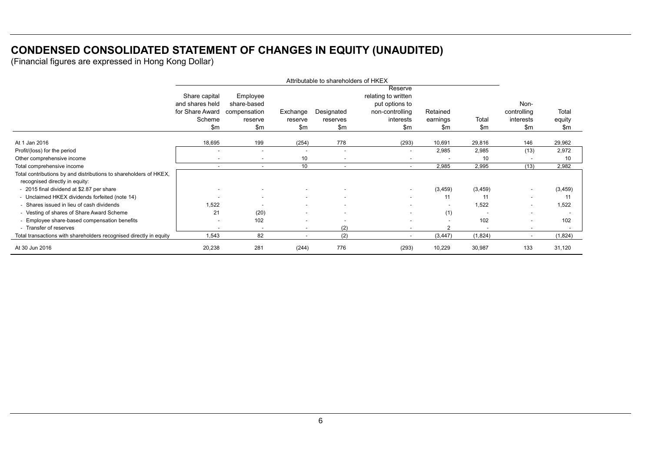# **CONDENSED CONSOLIDATED STATEMENT OF CHANGES IN EQUITY (UNAUDITED)**

|                                                                    | Attributable to shareholders of HKEX |                          |                          |                          |                          |                |               |             |          |
|--------------------------------------------------------------------|--------------------------------------|--------------------------|--------------------------|--------------------------|--------------------------|----------------|---------------|-------------|----------|
|                                                                    |                                      |                          |                          |                          | Reserve                  |                |               |             |          |
|                                                                    | Share capital                        | Employee                 |                          |                          | relating to written      |                |               |             |          |
|                                                                    | and shares held                      | share-based              |                          |                          | put options to           |                |               | Non-        |          |
|                                                                    | for Share Award                      | compensation             | Exchange                 | Designated               | non-controlling          | Retained       |               | controlling | Total    |
|                                                                    | Scheme                               | reserve                  | reserve                  | reserves                 | interests                | earnings       | Total         | interests   | equity   |
|                                                                    | \$m                                  | $\mathsf{Sm}$            | \$m                      | \$m                      | $\mathsf{Sm}$            | \$m            | $\mathsf{Sm}$ | \$m         | \$m      |
| At 1 Jan 2016                                                      | 18,695                               | 199                      | (254)                    | 778                      | (293)                    | 10,691         | 29,816        | 146         | 29,962   |
| Profit/(loss) for the period                                       |                                      | $\sim$                   | $\overline{\phantom{a}}$ | $\sim$                   | $\blacksquare$           | 2,985          | 2,985         | (13)        | 2,972    |
| Other comprehensive income                                         | ٠                                    | $\sim$                   | 10                       | $\overline{\phantom{a}}$ | $\overline{\phantom{a}}$ | $\blacksquare$ | 10            |             | 10       |
| Total comprehensive income                                         | ٠                                    | $\overline{\phantom{a}}$ | 10 <sup>°</sup>          | $\overline{\phantom{a}}$ | $\blacksquare$           | 2,985          | 2,995         | (13)        | 2,982    |
| Total contributions by and distributions to shareholders of HKEX,  |                                      |                          |                          |                          |                          |                |               |             |          |
| recognised directly in equity:                                     |                                      |                          |                          |                          |                          |                |               |             |          |
| - 2015 final dividend at \$2.87 per share                          |                                      |                          |                          |                          | ٠                        | (3, 459)       | (3, 459)      |             | (3, 459) |
| - Unclaimed HKEX dividends forfeited (note 14)                     | $\overline{\phantom{0}}$             | $\overline{\phantom{a}}$ | $\overline{a}$           | $\overline{\phantom{0}}$ | $\blacksquare$           | 11             | 11            |             | 11       |
| - Shares issued in lieu of cash dividends                          | 1,522                                |                          | ٠                        | $\overline{\phantom{a}}$ | $\overline{a}$           | $\overline{a}$ | 1,522         |             | 1,522    |
| - Vesting of shares of Share Award Scheme                          | 21                                   | (20)                     | $\overline{\phantom{a}}$ | $\overline{\phantom{a}}$ | $\overline{\phantom{a}}$ | (1)            |               | $\sim$      |          |
| - Employee share-based compensation benefits                       | ٠                                    | 102                      | $\blacksquare$           |                          | $\overline{\phantom{a}}$ | $\overline{a}$ | 102           | $\sim$      | 102      |
| - Transfer of reserves                                             |                                      | $\overline{\phantom{a}}$ | $\overline{\phantom{a}}$ | (2)                      | $\overline{\phantom{a}}$ | 2              |               |             |          |
| Total transactions with shareholders recognised directly in equity | 1,543                                | 82                       | $\overline{\phantom{a}}$ | (2)                      | $\overline{\phantom{a}}$ | (3, 447)       | (1,824)       | $\sim$      | (1,824)  |
| At 30 Jun 2016                                                     | 20,238                               | 281                      | (244)                    | 776                      | (293)                    | 10,229         | 30,987        | 133         | 31,120   |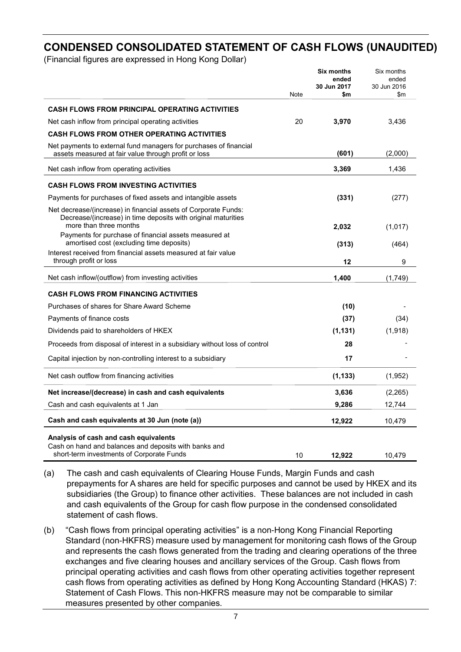# **CONDENSED CONSOLIDATED STATEMENT OF CASH FLOWS (UNAUDITED)**

(Financial figures are expressed in Hong Kong Dollar)

|                                                                                                                                                            |      | <b>Six months</b><br>ended | Six months<br>ended |
|------------------------------------------------------------------------------------------------------------------------------------------------------------|------|----------------------------|---------------------|
|                                                                                                                                                            | Note | 30 Jun 2017<br>\$m         | 30 Jun 2016<br>\$m  |
|                                                                                                                                                            |      |                            |                     |
| <b>CASH FLOWS FROM PRINCIPAL OPERATING ACTIVITIES</b>                                                                                                      |      |                            |                     |
| Net cash inflow from principal operating activities                                                                                                        | 20   | 3,970                      | 3,436               |
| <b>CASH FLOWS FROM OTHER OPERATING ACTIVITIES</b>                                                                                                          |      |                            |                     |
| Net payments to external fund managers for purchases of financial<br>assets measured at fair value through profit or loss                                  |      | (601)                      | (2,000)             |
| Net cash inflow from operating activities                                                                                                                  |      | 3,369                      | 1,436               |
| <b>CASH FLOWS FROM INVESTING ACTIVITIES</b>                                                                                                                |      |                            |                     |
| Payments for purchases of fixed assets and intangible assets                                                                                               |      | (331)                      | (277)               |
| Net decrease/(increase) in financial assets of Corporate Funds:<br>Decrease/(increase) in time deposits with original maturities<br>more than three months |      |                            |                     |
| Payments for purchase of financial assets measured at                                                                                                      |      | 2,032                      | (1,017)             |
| amortised cost (excluding time deposits)                                                                                                                   |      | (313)                      | (464)               |
| Interest received from financial assets measured at fair value<br>through profit or loss                                                                   |      | 12                         | 9                   |
| Net cash inflow/(outflow) from investing activities                                                                                                        |      | 1,400                      | (1,749)             |
| <b>CASH FLOWS FROM FINANCING ACTIVITIES</b>                                                                                                                |      |                            |                     |
| Purchases of shares for Share Award Scheme                                                                                                                 |      | (10)                       |                     |
| Payments of finance costs                                                                                                                                  |      | (37)                       | (34)                |
| Dividends paid to shareholders of HKEX                                                                                                                     |      | (1, 131)                   | (1,918)             |
| Proceeds from disposal of interest in a subsidiary without loss of control                                                                                 |      | 28                         |                     |
| Capital injection by non-controlling interest to a subsidiary                                                                                              |      | 17                         |                     |
| Net cash outflow from financing activities                                                                                                                 |      | (1, 133)                   | (1,952)             |
| Net increase/(decrease) in cash and cash equivalents                                                                                                       |      | 3,636                      | (2,265)             |
| Cash and cash equivalents at 1 Jan                                                                                                                         |      | 9,286                      | 12,744              |
| Cash and cash equivalents at 30 Jun (note (a))                                                                                                             |      | 12,922                     | 10,479              |
| Analysis of cash and cash equivalents<br>Cash on hand and balances and deposits with banks and                                                             |      |                            |                     |
| short-term investments of Corporate Funds                                                                                                                  | 10   | 12,922                     | 10,479              |

(a) The cash and cash equivalents of Clearing House Funds, Margin Funds and cash prepayments for A shares are held for specific purposes and cannot be used by HKEX and its subsidiaries (the Group) to finance other activities. These balances are not included in cash and cash equivalents of the Group for cash flow purpose in the condensed consolidated statement of cash flows.

(b) "Cash flows from principal operating activities" is a non-Hong Kong Financial Reporting Standard (non-HKFRS) measure used by management for monitoring cash flows of the Group and represents the cash flows generated from the trading and clearing operations of the three exchanges and five clearing houses and ancillary services of the Group. Cash flows from principal operating activities and cash flows from other operating activities together represent cash flows from operating activities as defined by Hong Kong Accounting Standard (HKAS) 7: Statement of Cash Flows. This non-HKFRS measure may not be comparable to similar measures presented by other companies.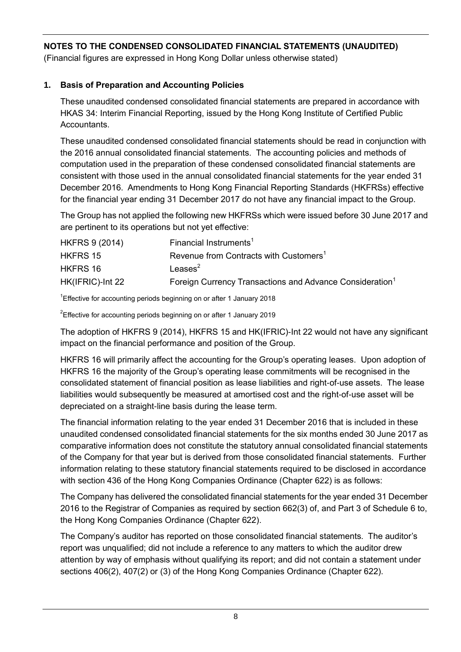(Financial figures are expressed in Hong Kong Dollar unless otherwise stated)

### **1. Basis of Preparation and Accounting Policies**

These unaudited condensed consolidated financial statements are prepared in accordance with HKAS 34: Interim Financial Reporting, issued by the Hong Kong Institute of Certified Public **Accountants** 

These unaudited condensed consolidated financial statements should be read in conjunction with the 2016 annual consolidated financial statements. The accounting policies and methods of computation used in the preparation of these condensed consolidated financial statements are consistent with those used in the annual consolidated financial statements for the year ended 31 December 2016. Amendments to Hong Kong Financial Reporting Standards (HKFRSs) effective for the financial year ending 31 December 2017 do not have any financial impact to the Group.

The Group has not applied the following new HKFRSs which were issued before 30 June 2017 and are pertinent to its operations but not yet effective:

| <b>HKFRS 9 (2014)</b> | Financial Instruments <sup>1</sup>                                   |
|-----------------------|----------------------------------------------------------------------|
| <b>HKFRS 15</b>       | Revenue from Contracts with Customers <sup>1</sup>                   |
| HKFRS 16              | Leases $2$                                                           |
| HK(IFRIC)-Int 22      | Foreign Currency Transactions and Advance Consideration <sup>1</sup> |

<sup>1</sup>Effective for accounting periods beginning on or after 1 January 2018

 $2$ Effective for accounting periods beginning on or after 1 January 2019

The adoption of HKFRS 9 (2014), HKFRS 15 and HK(IFRIC)-Int 22 would not have any significant impact on the financial performance and position of the Group.

HKFRS 16 will primarily affect the accounting for the Group's operating leases. Upon adoption of HKFRS 16 the majority of the Group's operating lease commitments will be recognised in the consolidated statement of financial position as lease liabilities and right-of-use assets. The lease liabilities would subsequently be measured at amortised cost and the right-of-use asset will be depreciated on a straight-line basis during the lease term.

The financial information relating to the year ended 31 December 2016 that is included in these unaudited condensed consolidated financial statements for the six months ended 30 June 2017 as comparative information does not constitute the statutory annual consolidated financial statements of the Company for that year but is derived from those consolidated financial statements. Further information relating to these statutory financial statements required to be disclosed in accordance with section 436 of the Hong Kong Companies Ordinance (Chapter 622) is as follows:

The Company has delivered the consolidated financial statements for the year ended 31 December 2016 to the Registrar of Companies as required by section 662(3) of, and Part 3 of Schedule 6 to, the Hong Kong Companies Ordinance (Chapter 622).

The Company's auditor has reported on those consolidated financial statements. The auditor's report was unqualified; did not include a reference to any matters to which the auditor drew attention by way of emphasis without qualifying its report; and did not contain a statement under sections 406(2), 407(2) or (3) of the Hong Kong Companies Ordinance (Chapter 622).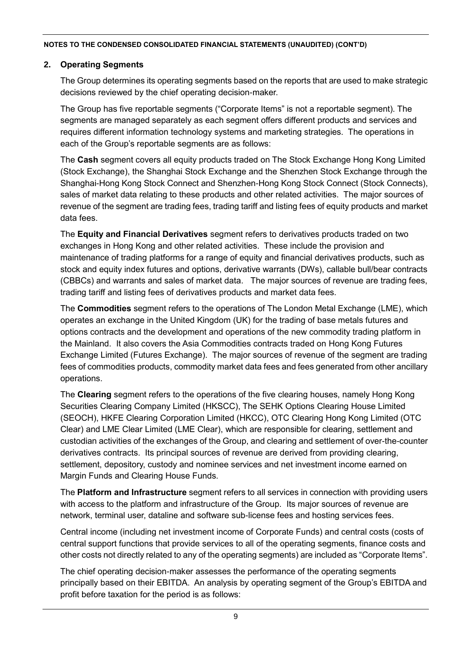#### **2. Operating Segments**

The Group determines its operating segments based on the reports that are used to make strategic decisions reviewed by the chief operating decision-maker.

The Group has five reportable segments ("Corporate Items" is not a reportable segment). The segments are managed separately as each segment offers different products and services and requires different information technology systems and marketing strategies. The operations in each of the Group's reportable segments are as follows:

The **Cash** segment covers all equity products traded on The Stock Exchange Hong Kong Limited (Stock Exchange), the Shanghai Stock Exchange and the Shenzhen Stock Exchange through the Shanghai-Hong Kong Stock Connect and Shenzhen-Hong Kong Stock Connect (Stock Connects), sales of market data relating to these products and other related activities. The major sources of revenue of the segment are trading fees, trading tariff and listing fees of equity products and market data fees.

The **Equity and Financial Derivatives** segment refers to derivatives products traded on two exchanges in Hong Kong and other related activities. These include the provision and maintenance of trading platforms for a range of equity and financial derivatives products, such as stock and equity index futures and options, derivative warrants (DWs), callable bull/bear contracts (CBBCs) and warrants and sales of market data. The major sources of revenue are trading fees, trading tariff and listing fees of derivatives products and market data fees.

The **Commodities** segment refers to the operations of The London Metal Exchange (LME), which operates an exchange in the United Kingdom (UK) for the trading of base metals futures and options contracts and the development and operations of the new commodity trading platform in the Mainland. It also covers the Asia Commodities contracts traded on Hong Kong Futures Exchange Limited (Futures Exchange). The major sources of revenue of the segment are trading fees of commodities products, commodity market data fees and fees generated from other ancillary operations.

The **Clearing** segment refers to the operations of the five clearing houses, namely Hong Kong Securities Clearing Company Limited (HKSCC), The SEHK Options Clearing House Limited (SEOCH), HKFE Clearing Corporation Limited (HKCC), OTC Clearing Hong Kong Limited (OTC Clear) and LME Clear Limited (LME Clear), which are responsible for clearing, settlement and custodian activities of the exchanges of the Group, and clearing and settlement of over-the-counter derivatives contracts. Its principal sources of revenue are derived from providing clearing, settlement, depository, custody and nominee services and net investment income earned on Margin Funds and Clearing House Funds.

The **Platform and Infrastructure** segment refers to all services in connection with providing users with access to the platform and infrastructure of the Group. Its major sources of revenue are network, terminal user, dataline and software sub-license fees and hosting services fees.

Central income (including net investment income of Corporate Funds) and central costs (costs of central support functions that provide services to all of the operating segments, finance costs and other costs not directly related to any of the operating segments) are included as "Corporate Items".

The chief operating decision-maker assesses the performance of the operating segments principally based on their EBITDA. An analysis by operating segment of the Group's EBITDA and profit before taxation for the period is as follows: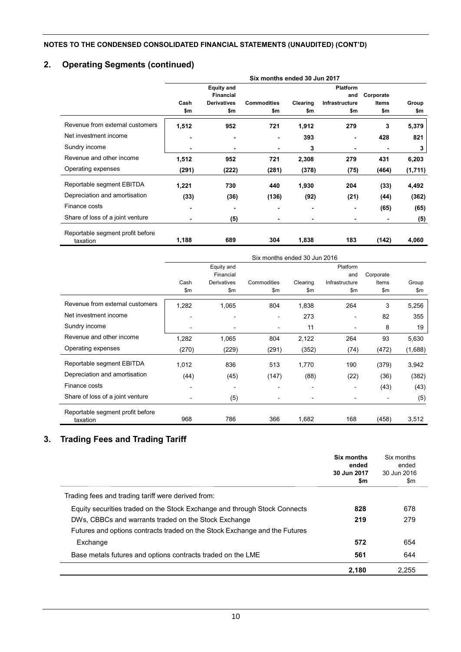# **2. Operating Segments (continued)**

|                                              | Six months ended 30 Jun 2017 |                                       |                    |          |                        |           |         |  |
|----------------------------------------------|------------------------------|---------------------------------------|--------------------|----------|------------------------|-----------|---------|--|
|                                              |                              | <b>Equity and</b><br><b>Financial</b> |                    |          | <b>Platform</b><br>and | Corporate |         |  |
|                                              | Cash                         | <b>Derivatives</b>                    | <b>Commodities</b> | Clearing | Infrastructure         | Items     | Group   |  |
|                                              | \$m                          | \$m                                   | \$m                | \$m      | \$m                    | \$m       | \$m     |  |
| Revenue from external customers              | 1,512                        | 952                                   | 721                | 1,912    | 279                    | 3         | 5,379   |  |
| Net investment income                        | ٠                            | -                                     | $\blacksquare$     | 393      |                        | 428       | 821     |  |
| Sundry income                                | ٠                            | -                                     |                    | 3        | -                      |           | 3       |  |
| Revenue and other income                     | 1,512                        | 952                                   | 721                | 2,308    | 279                    | 431       | 6,203   |  |
| Operating expenses                           | (291)                        | (222)                                 | (281)              | (378)    | (75)                   | (464)     | (1,711) |  |
| Reportable segment EBITDA                    | 1,221                        | 730                                   | 440                | 1,930    | 204                    | (33)      | 4,492   |  |
| Depreciation and amortisation                | (33)                         | (36)                                  | (136)              | (92)     | (21)                   | (44)      | (362)   |  |
| Finance costs                                | ٠                            | -                                     | ٠                  | ٠        |                        | (65)      | (65)    |  |
| Share of loss of a joint venture             | $\blacksquare$               | (5)                                   | $\blacksquare$     | ٠        |                        | -         | (5)     |  |
| Reportable segment profit before<br>taxation | 1,188                        | 689                                   | 304                | 1,838    | 183                    | (142)     | 4,060   |  |

|                                              | Six months ended 30 Jun 2016 |                    |                          |                |                |           |         |  |
|----------------------------------------------|------------------------------|--------------------|--------------------------|----------------|----------------|-----------|---------|--|
|                                              |                              | Equity and         |                          |                | Platform       |           |         |  |
|                                              |                              | Financial          |                          |                | and            | Corporate |         |  |
|                                              | Cash                         | <b>Derivatives</b> | Commodities              | Clearing       | Infrastructure | Items     | Group   |  |
|                                              | \$m                          | \$m                | \$m                      | \$m            | \$m            | \$m       | \$m     |  |
| Revenue from external customers              | 1,282                        | 1,065              | 804                      | 1,838          | 264            | 3         | 5,256   |  |
| Net investment income                        |                              |                    | $\sim$                   | 273            |                | 82        | 355     |  |
| Sundry income                                | $\overline{\phantom{a}}$     |                    | $\blacksquare$           | 11             |                | 8         | 19      |  |
| Revenue and other income                     | 1,282                        | 1,065              | 804                      | 2,122          | 264            | 93        | 5,630   |  |
| Operating expenses                           | (270)                        | (229)              | (291)                    | (352)          | (74)           | (472)     | (1,688) |  |
| Reportable segment EBITDA                    | 1,012                        | 836                | 513                      | 1,770          | 190            | (379)     | 3,942   |  |
| Depreciation and amortisation                | (44)                         | (45)               | (147)                    | (88)           | (22)           | (36)      | (382)   |  |
| Finance costs                                |                              |                    |                          |                |                | (43)      | (43)    |  |
| Share of loss of a joint venture             |                              | (5)                | $\overline{\phantom{a}}$ | $\blacksquare$ |                |           | (5)     |  |
| Reportable segment profit before<br>taxation | 968                          | 786                | 366                      | 1,682          | 168            | (458)     | 3,512   |  |

# **3. Trading Fees and Trading Tariff**

|                                                                            | Six months<br>ended<br>30 Jun 2017<br>\$m | Six months<br>ended<br>30 Jun 2016<br>\$m |
|----------------------------------------------------------------------------|-------------------------------------------|-------------------------------------------|
| Trading fees and trading tariff were derived from:                         |                                           |                                           |
| Equity securities traded on the Stock Exchange and through Stock Connects  | 828                                       | 678                                       |
| DWs, CBBCs and warrants traded on the Stock Exchange                       | 219                                       | 279                                       |
| Futures and options contracts traded on the Stock Exchange and the Futures |                                           |                                           |
| Exchange                                                                   | 572                                       | 654                                       |
| Base metals futures and options contracts traded on the LME                | 561                                       | 644                                       |
|                                                                            | 2,180                                     | 2,255                                     |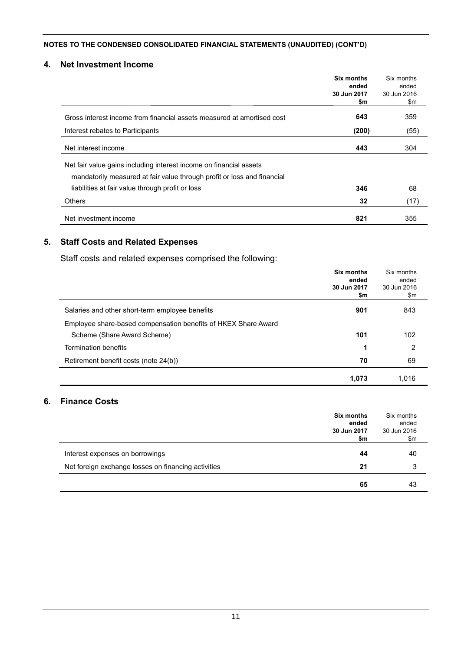#### **4. Net Investment Income**

|                                                                         | Six months           | Six months           |
|-------------------------------------------------------------------------|----------------------|----------------------|
|                                                                         | ended<br>30 Jun 2017 | ended<br>30 Jun 2016 |
|                                                                         | \$m                  | \$m                  |
| Gross interest income from financial assets measured at amortised cost  | 643                  | 359                  |
| Interest rebates to Participants                                        | (200)                | (55)                 |
| Net interest income                                                     | 443                  | 304                  |
| Net fair value gains including interest income on financial assets      |                      |                      |
| mandatorily measured at fair value through profit or loss and financial |                      |                      |
| liabilities at fair value through profit or loss                        | 346                  | 68                   |
| Others                                                                  | 32                   | (17)                 |
| Net investment income                                                   | 821                  | 355                  |

#### **5. Staff Costs and Related Expenses**

Staff costs and related expenses comprised the following:

|                                                                | Six months<br>ended<br>30 Jun 2017<br>\$m | Six months<br>ended<br>30 Jun 2016<br>\$m |
|----------------------------------------------------------------|-------------------------------------------|-------------------------------------------|
| Salaries and other short-term employee benefits                | 901                                       | 843                                       |
| Employee share-based compensation benefits of HKEX Share Award |                                           |                                           |
| Scheme (Share Award Scheme)                                    | 101                                       | 102                                       |
| <b>Termination benefits</b>                                    | 1                                         | 2                                         |
| Retirement benefit costs (note 24(b))                          | 70                                        | 69                                        |
|                                                                | 1,073                                     | 1.016                                     |

## **6. Finance Costs**

|                                                     | Six months<br>ended<br>30 Jun 2017<br>\$m | Six months<br>ended<br>30 Jun 2016<br>\$m |
|-----------------------------------------------------|-------------------------------------------|-------------------------------------------|
| Interest expenses on borrowings                     | 44                                        | 40                                        |
| Net foreign exchange losses on financing activities | 21                                        | 3                                         |
|                                                     | 65                                        | 43                                        |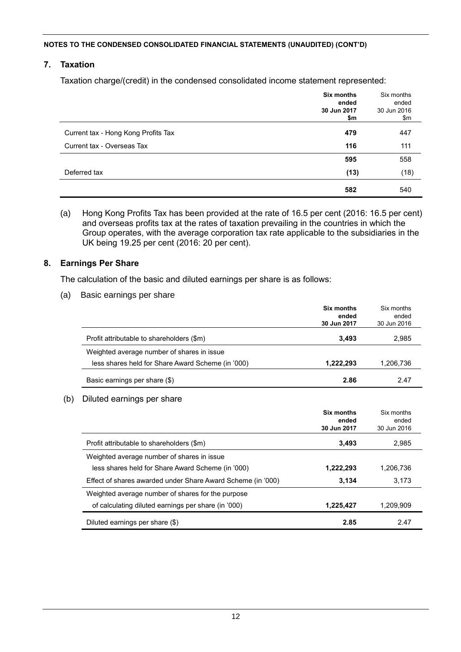#### **7. Taxation**

Taxation charge/(credit) in the condensed consolidated income statement represented:

|                                     | Six months<br>ended<br>30 Jun 2017<br>\$m | Six months<br>ended<br>30 Jun 2016<br>\$m |
|-------------------------------------|-------------------------------------------|-------------------------------------------|
| Current tax - Hong Kong Profits Tax | 479                                       | 447                                       |
| Current tax - Overseas Tax          | 116                                       | 111                                       |
|                                     | 595                                       | 558                                       |
| Deferred tax                        | (13)                                      | (18)                                      |
|                                     | 582                                       | 540                                       |

(a) Hong Kong Profits Tax has been provided at the rate of 16.5 per cent (2016: 16.5 per cent) and overseas profits tax at the rates of taxation prevailing in the countries in which the Group operates, with the average corporation tax rate applicable to the subsidiaries in the UK being 19.25 per cent (2016: 20 per cent).

#### **8. Earnings Per Share**

The calculation of the basic and diluted earnings per share is as follows:

(a) Basic earnings per share

|                                                   | Six months<br>ended<br>30 Jun 2017 | Six months<br>ended<br>30 Jun 2016 |
|---------------------------------------------------|------------------------------------|------------------------------------|
| Profit attributable to shareholders (\$m)         | 3,493                              | 2,985                              |
| Weighted average number of shares in issue        |                                    |                                    |
| less shares held for Share Award Scheme (in '000) | 1,222,293                          | 1,206,736                          |
| Basic earnings per share (\$)                     | 2.86                               | 2.47                               |

#### (b) Diluted earnings per share

|                                                             | Six months<br>ended<br>30 Jun 2017 | Six months<br>ended<br>30 Jun 2016 |
|-------------------------------------------------------------|------------------------------------|------------------------------------|
| Profit attributable to shareholders (\$m)                   | 3.493                              | 2.985                              |
| Weighted average number of shares in issue                  |                                    |                                    |
| less shares held for Share Award Scheme (in '000)           | 1,222,293                          | 1,206,736                          |
| Effect of shares awarded under Share Award Scheme (in '000) | 3.134                              | 3.173                              |
| Weighted average number of shares for the purpose           |                                    |                                    |
| of calculating diluted earnings per share (in '000)         | 1,225,427                          | 1,209,909                          |
| Diluted earnings per share (\$)                             | 2.85                               | 2.47                               |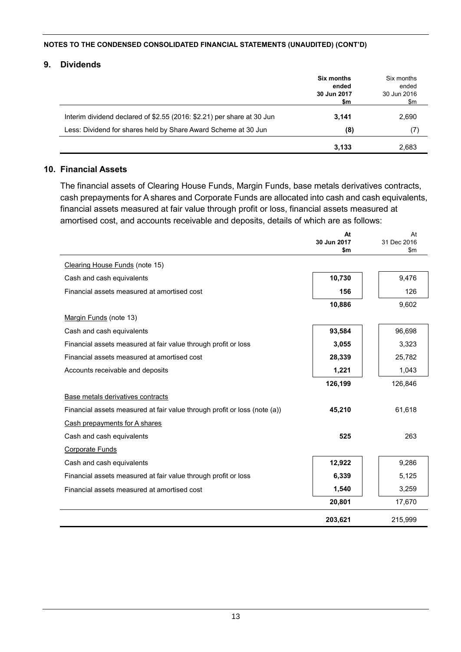#### **9. Dividends**

|                                                                        | <b>Six months</b><br>ended<br>30 Jun 2017<br>\$m | Six months<br>ended<br>30 Jun 2016<br>\$m |
|------------------------------------------------------------------------|--------------------------------------------------|-------------------------------------------|
| Interim dividend declared of \$2.55 (2016: \$2.21) per share at 30 Jun | 3.141                                            | 2,690                                     |
| Less: Dividend for shares held by Share Award Scheme at 30 Jun         | (8)                                              | (7)                                       |
|                                                                        | 3,133                                            | 2.683                                     |

#### **10. Financial Assets**

The financial assets of Clearing House Funds, Margin Funds, base metals derivatives contracts, cash prepayments for A shares and Corporate Funds are allocated into cash and cash equivalents, financial assets measured at fair value through profit or loss, financial assets measured at amortised cost, and accounts receivable and deposits, details of which are as follows:

|                                                                           | At<br>30 Jun 2017<br>\$m | At<br>31 Dec 2016<br>$\mathsf{Sm}$ |
|---------------------------------------------------------------------------|--------------------------|------------------------------------|
| Clearing House Funds (note 15)                                            |                          |                                    |
| Cash and cash equivalents                                                 | 10,730                   | 9,476                              |
| Financial assets measured at amortised cost                               | 156                      | 126                                |
|                                                                           | 10,886                   | 9,602                              |
| Margin Funds (note 13)                                                    |                          |                                    |
| Cash and cash equivalents                                                 | 93,584                   | 96,698                             |
| Financial assets measured at fair value through profit or loss            | 3,055                    | 3,323                              |
| Financial assets measured at amortised cost                               | 28,339                   | 25,782                             |
| Accounts receivable and deposits                                          | 1,221                    | 1,043                              |
|                                                                           | 126,199                  | 126,846                            |
| Base metals derivatives contracts                                         |                          |                                    |
| Financial assets measured at fair value through profit or loss (note (a)) | 45,210                   | 61,618                             |
| Cash prepayments for A shares                                             |                          |                                    |
| Cash and cash equivalents                                                 | 525                      | 263                                |
| Corporate Funds                                                           |                          |                                    |
| Cash and cash equivalents                                                 | 12,922                   | 9,286                              |
| Financial assets measured at fair value through profit or loss            | 6,339                    | 5,125                              |
| Financial assets measured at amortised cost                               | 1,540                    | 3,259                              |
|                                                                           | 20,801                   | 17,670                             |
|                                                                           | 203,621                  | 215.999                            |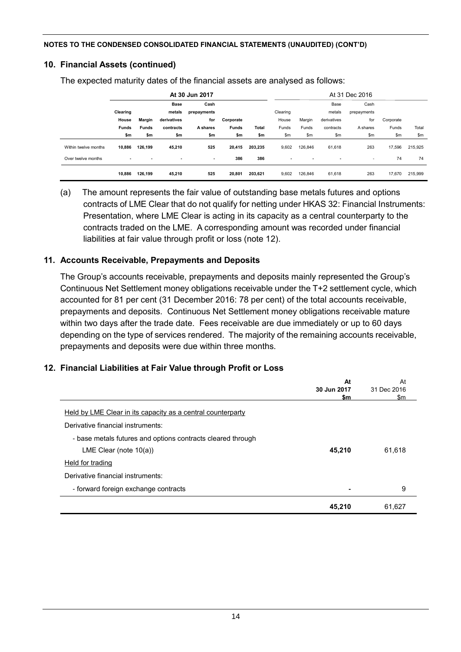### **10. Financial Assets (continued)**

The expected maturity dates of the financial assets are analysed as follows:

|                      |              |               |                          | At 30 Jun 2017           |              |         |                          |                |                | At 31 Dec 2016           |           |         |
|----------------------|--------------|---------------|--------------------------|--------------------------|--------------|---------|--------------------------|----------------|----------------|--------------------------|-----------|---------|
|                      |              |               | <b>Base</b>              | Cash                     |              |         |                          |                | Base           | Cash                     |           |         |
|                      | Clearing     |               | metals                   | prepayments              |              |         | Clearing                 |                | metals         | prepayments              |           |         |
|                      | House        | <b>Margin</b> | derivatives              | for                      | Corporate    |         | House                    | Margin         | derivatives    | for                      | Corporate |         |
|                      | <b>Funds</b> | <b>Funds</b>  | contracts                | A shares                 | <b>Funds</b> | Total   | Funds                    | Funds          | contracts      | A shares                 | Funds     | Total   |
|                      | \$m          | \$m           | \$m                      | \$m                      | \$m          | \$m     | \$m                      | \$m            | \$m            | \$m                      | \$m       | \$m     |
| Within twelve months | 10,886       | 126,199       | 45,210                   | 525                      | 20,415       | 203.235 | 9,602                    | 126.846        | 61,618         | 263                      | 17,596    | 215,925 |
| Over twelve months   |              |               | $\overline{\phantom{a}}$ | $\overline{\phantom{a}}$ | 386          | 386     | $\overline{\phantom{a}}$ | $\blacksquare$ | $\blacksquare$ | $\overline{\phantom{a}}$ | 74        | 74      |
|                      | 10,886       | 126,199       | 45,210                   | 525                      | 20,801       | 203,621 | 9,602                    | 126.846        | 61,618         | 263                      | 17,670    | 215,999 |

(a) The amount represents the fair value of outstanding base metals futures and options contracts of LME Clear that do not qualify for netting under HKAS 32: Financial Instruments: Presentation, where LME Clear is acting in its capacity as a central counterparty to the contracts traded on the LME. A corresponding amount was recorded under financial liabilities at fair value through profit or loss (note 12).

### **11. Accounts Receivable, Prepayments and Deposits**

The Group's accounts receivable, prepayments and deposits mainly represented the Group's Continuous Net Settlement money obligations receivable under the T+2 settlement cycle, which accounted for 81 per cent (31 December 2016: 78 per cent) of the total accounts receivable, prepayments and deposits. Continuous Net Settlement money obligations receivable mature within two days after the trade date. Fees receivable are due immediately or up to 60 days depending on the type of services rendered. The majority of the remaining accounts receivable, prepayments and deposits were due within three months.

# **12. Financial Liabilities at Fair Value through Profit or Loss**

|                                                             | At          | At          |  |
|-------------------------------------------------------------|-------------|-------------|--|
|                                                             | 30 Jun 2017 | 31 Dec 2016 |  |
|                                                             | \$m         | \$m         |  |
| Held by LME Clear in its capacity as a central counterparty |             |             |  |
| Derivative financial instruments:                           |             |             |  |
| - base metals futures and options contracts cleared through |             |             |  |
| LME Clear (note $10(a)$ )                                   | 45,210      | 61,618      |  |
| Held for trading                                            |             |             |  |
| Derivative financial instruments:                           |             |             |  |
| - forward foreign exchange contracts                        |             | 9           |  |
|                                                             | 45,210      | 61,627      |  |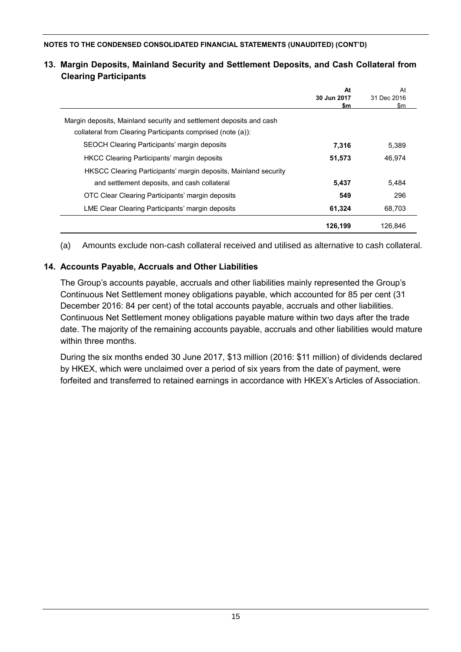|                                                                     | At<br>30 Jun 2017<br>\$m | At<br>31 Dec 2016<br>\$m |
|---------------------------------------------------------------------|--------------------------|--------------------------|
| Margin deposits, Mainland security and settlement deposits and cash |                          |                          |
| collateral from Clearing Participants comprised (note (a)):         |                          |                          |
| SEOCH Clearing Participants' margin deposits                        | 7,316                    | 5.389                    |
| <b>HKCC Clearing Participants' margin deposits</b>                  | 51,573                   | 46.974                   |
| HKSCC Clearing Participants' margin deposits, Mainland security     |                          |                          |
| and settlement deposits, and cash collateral                        | 5,437                    | 5,484                    |
| OTC Clear Clearing Participants' margin deposits                    | 549                      | 296                      |
| LME Clear Clearing Participants' margin deposits                    | 61,324                   | 68,703                   |
|                                                                     | 126,199                  | 126.846                  |

### **13. Margin Deposits, Mainland Security and Settlement Deposits, and Cash Collateral from Clearing Participants**

(a) Amounts exclude non-cash collateral received and utilised as alternative to cash collateral.

# **14. Accounts Payable, Accruals and Other Liabilities**

The Group's accounts payable, accruals and other liabilities mainly represented the Group's Continuous Net Settlement money obligations payable, which accounted for 85 per cent (31 December 2016: 84 per cent) of the total accounts payable, accruals and other liabilities. Continuous Net Settlement money obligations payable mature within two days after the trade date. The majority of the remaining accounts payable, accruals and other liabilities would mature within three months.

During the six months ended 30 June 2017, \$13 million (2016: \$11 million) of dividends declared by HKEX, which were unclaimed over a period of six years from the date of payment, were forfeited and transferred to retained earnings in accordance with HKEX's Articles of Association.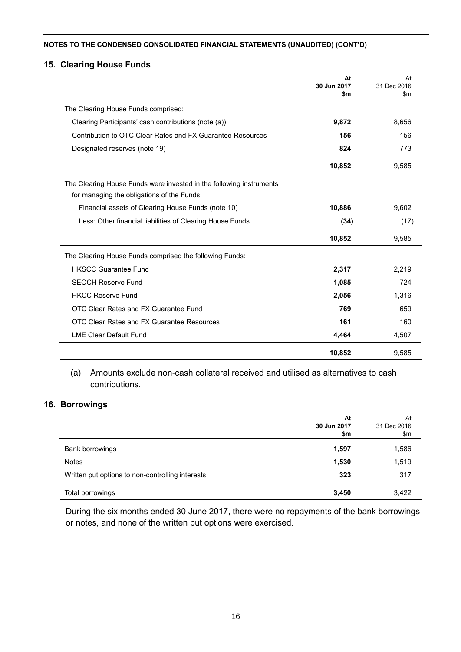### **15. Clearing House Funds**

|                                                                     | At<br>30 Jun 2017 | At<br>31 Dec 2016 |
|---------------------------------------------------------------------|-------------------|-------------------|
|                                                                     | \$m               | \$m               |
| The Clearing House Funds comprised:                                 |                   |                   |
| Clearing Participants' cash contributions (note (a))                | 9,872             | 8,656             |
| Contribution to OTC Clear Rates and FX Guarantee Resources          | 156               | 156               |
| Designated reserves (note 19)                                       | 824               | 773               |
|                                                                     | 10,852            | 9,585             |
| The Clearing House Funds were invested in the following instruments |                   |                   |
| for managing the obligations of the Funds:                          |                   |                   |
| Financial assets of Clearing House Funds (note 10)                  | 10,886            | 9,602             |
| Less: Other financial liabilities of Clearing House Funds           | (34)              | (17)              |
|                                                                     | 10,852            | 9,585             |
| The Clearing House Funds comprised the following Funds:             |                   |                   |
| <b>HKSCC Guarantee Fund</b>                                         | 2,317             | 2,219             |
| <b>SEOCH Reserve Fund</b>                                           | 1,085             | 724               |
| <b>HKCC Reserve Fund</b>                                            | 2,056             | 1,316             |
| OTC Clear Rates and FX Guarantee Fund                               | 769               | 659               |
| OTC Clear Rates and FX Guarantee Resources                          | 161               | 160               |
| <b>LME Clear Default Fund</b>                                       | 4,464             | 4,507             |
|                                                                     | 10,852            | 9,585             |

(a) Amounts exclude non-cash collateral received and utilised as alternatives to cash contributions.

#### **16. Borrowings**

|                                                  | At<br>30 Jun 2017<br>\$m | At<br>31 Dec 2016<br>\$m |
|--------------------------------------------------|--------------------------|--------------------------|
| Bank borrowings                                  | 1,597                    | 1,586                    |
| <b>Notes</b>                                     | 1,530                    | 1,519                    |
| Written put options to non-controlling interests | 323                      | 317                      |
| Total borrowings                                 | 3,450                    | 3,422                    |

During the six months ended 30 June 2017, there were no repayments of the bank borrowings or notes, and none of the written put options were exercised.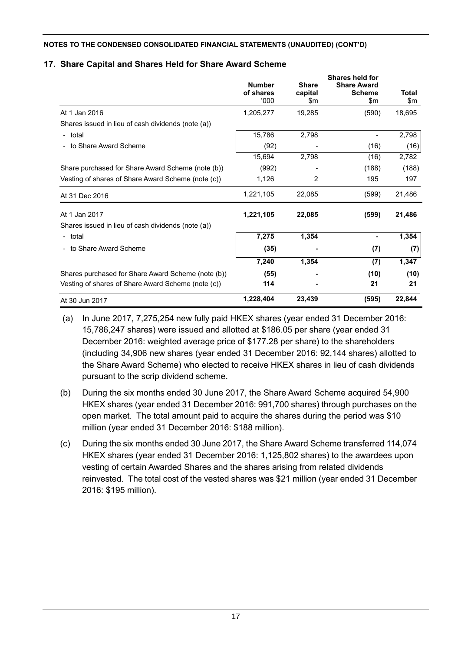## **17. Share Capital and Shares Held for Share Award Scheme**

|                                                    | <b>Number</b><br>of shares<br>000' | <b>Share</b><br>capital<br>\$m | Shares held for<br><b>Share Award</b><br><b>Scheme</b><br>\$m | Total<br>\$m |
|----------------------------------------------------|------------------------------------|--------------------------------|---------------------------------------------------------------|--------------|
| At 1 Jan 2016                                      | 1,205,277                          | 19,285                         | (590)                                                         | 18,695       |
| Shares issued in lieu of cash dividends (note (a)) |                                    |                                |                                                               |              |
| - total                                            | 15,786                             | 2,798                          |                                                               | 2,798        |
| - to Share Award Scheme                            | (92)                               |                                | (16)                                                          | (16)         |
|                                                    | 15,694                             | 2,798                          | (16)                                                          | 2,782        |
| Share purchased for Share Award Scheme (note (b))  | (992)                              |                                | (188)                                                         | (188)        |
| Vesting of shares of Share Award Scheme (note (c)) | 1,126                              | $\overline{2}$                 | 195                                                           | 197          |
| At 31 Dec 2016                                     | 1,221,105                          | 22,085                         | (599)                                                         | 21,486       |
| At 1 Jan 2017                                      | 1,221,105                          | 22,085                         | (599)                                                         | 21,486       |
| Shares issued in lieu of cash dividends (note (a)) |                                    |                                |                                                               |              |
| - total                                            | 7,275                              | 1,354                          | $\blacksquare$                                                | 1,354        |
| - to Share Award Scheme                            | (35)                               |                                | (7)                                                           | (7)          |
|                                                    | 7,240                              | 1,354                          | (7)                                                           | 1,347        |
| Shares purchased for Share Award Scheme (note (b)) | (55)                               |                                | (10)                                                          | (10)         |
| Vesting of shares of Share Award Scheme (note (c)) | 114                                |                                | 21                                                            | 21           |
| At 30 Jun 2017                                     | 1,228,404                          | 23,439                         | (595)                                                         | 22,844       |

(a) In June 2017, 7,275,254 new fully paid HKEX shares (year ended 31 December 2016: 15,786,247 shares) were issued and allotted at \$186.05 per share (year ended 31 December 2016: weighted average price of \$177.28 per share) to the shareholders (including 34,906 new shares (year ended 31 December 2016: 92,144 shares) allotted to the Share Award Scheme) who elected to receive HKEX shares in lieu of cash dividends pursuant to the scrip dividend scheme.

- (b) During the six months ended 30 June 2017, the Share Award Scheme acquired 54,900 HKEX shares (year ended 31 December 2016: 991,700 shares) through purchases on the open market. The total amount paid to acquire the shares during the period was \$10 million (year ended 31 December 2016: \$188 million).
- (c) During the six months ended 30 June 2017, the Share Award Scheme transferred 114,074 HKEX shares (year ended 31 December 2016: 1,125,802 shares) to the awardees upon vesting of certain Awarded Shares and the shares arising from related dividends reinvested. The total cost of the vested shares was \$21 million (year ended 31 December 2016: \$195 million).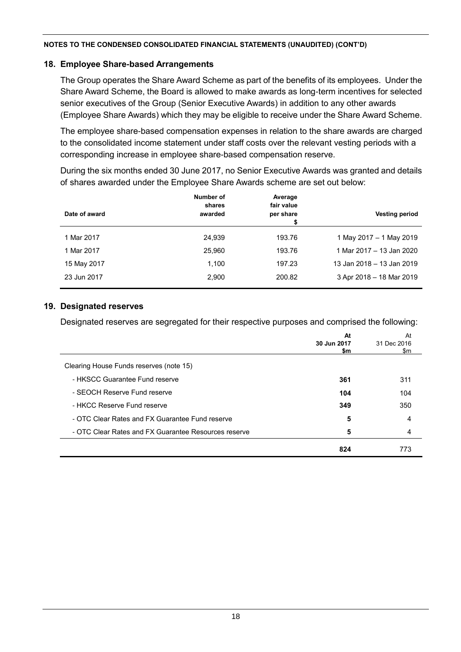#### **18. Employee Share-based Arrangements**

The Group operates the Share Award Scheme as part of the benefits of its employees. Under the Share Award Scheme, the Board is allowed to make awards as long-term incentives for selected senior executives of the Group (Senior Executive Awards) in addition to any other awards (Employee Share Awards) which they may be eligible to receive under the Share Award Scheme.

The employee share-based compensation expenses in relation to the share awards are charged to the consolidated income statement under staff costs over the relevant vesting periods with a corresponding increase in employee share-based compensation reserve.

During the six months ended 30 June 2017, no Senior Executive Awards was granted and details of shares awarded under the Employee Share Awards scheme are set out below:

|               | Number of<br>shares | Average<br>fair value |                           |
|---------------|---------------------|-----------------------|---------------------------|
| Date of award | awarded             | per share<br>\$       | <b>Vesting period</b>     |
|               |                     |                       |                           |
| 1 Mar 2017    | 24,939              | 193.76                | 1 May 2017 - 1 May 2019   |
| 1 Mar 2017    | 25,960              | 193.76                | 1 Mar 2017 – 13 Jan 2020  |
| 15 May 2017   | 1,100               | 197.23                | 13 Jan 2018 - 13 Jan 2019 |
| 23 Jun 2017   | 2,900               | 200.82                | 3 Apr 2018 - 18 Mar 2019  |
|               |                     |                       |                           |

#### **19. Designated reserves**

Designated reserves are segregated for their respective purposes and comprised the following:

|                                                      | At<br>30 Jun 2017 | At<br>31 Dec 2016 |
|------------------------------------------------------|-------------------|-------------------|
|                                                      | \$m               | \$m               |
| Clearing House Funds reserves (note 15)              |                   |                   |
| - HKSCC Guarantee Fund reserve                       | 361               | 311               |
| - SEOCH Reserve Fund reserve                         | 104               | 104               |
| - HKCC Reserve Fund reserve                          | 349               | 350               |
| - OTC Clear Rates and FX Guarantee Fund reserve      | 5                 | 4                 |
| - OTC Clear Rates and FX Guarantee Resources reserve | 5                 | 4                 |
|                                                      | 824               | 773               |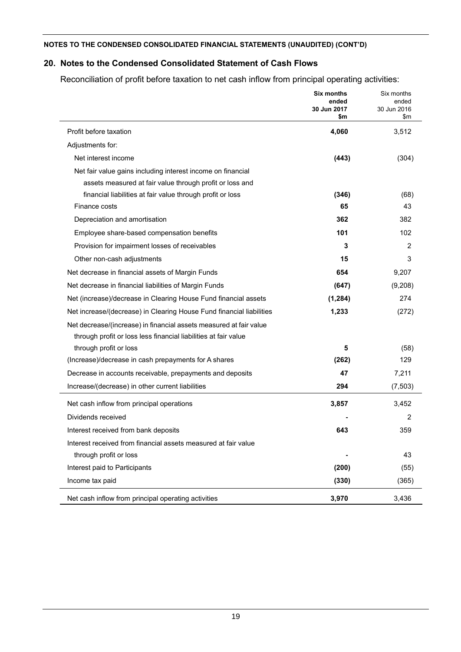# **20. Notes to the Condensed Consolidated Statement of Cash Flows**

Reconciliation of profit before taxation to net cash inflow from principal operating activities:

|                                                                      | Six months<br>ended<br>30 Jun 2017<br>\$m | Six months<br>ended<br>30 Jun 2016<br>\$m |
|----------------------------------------------------------------------|-------------------------------------------|-------------------------------------------|
| Profit before taxation                                               | 4,060                                     | 3,512                                     |
| Adjustments for:                                                     |                                           |                                           |
| Net interest income                                                  | (443)                                     | (304)                                     |
| Net fair value gains including interest income on financial          |                                           |                                           |
| assets measured at fair value through profit or loss and             |                                           |                                           |
| financial liabilities at fair value through profit or loss           | (346)                                     | (68)                                      |
| Finance costs                                                        | 65                                        | 43                                        |
| Depreciation and amortisation                                        | 362                                       | 382                                       |
| Employee share-based compensation benefits                           | 101                                       | 102                                       |
| Provision for impairment losses of receivables                       | 3                                         | $\overline{2}$                            |
| Other non-cash adjustments                                           | 15                                        | 3                                         |
| Net decrease in financial assets of Margin Funds                     | 654                                       | 9,207                                     |
| Net decrease in financial liabilities of Margin Funds                | (647)                                     | (9,208)                                   |
| Net (increase)/decrease in Clearing House Fund financial assets      | (1, 284)                                  | 274                                       |
| Net increase/(decrease) in Clearing House Fund financial liabilities | 1,233                                     | (272)                                     |
| Net decrease/(increase) in financial assets measured at fair value   |                                           |                                           |
| through profit or loss less financial liabilities at fair value      |                                           |                                           |
| through profit or loss                                               | 5                                         | (58)                                      |
| (Increase)/decrease in cash prepayments for A shares                 | (262)                                     | 129                                       |
| Decrease in accounts receivable, prepayments and deposits            | 47                                        | 7,211                                     |
| Increase/(decrease) in other current liabilities                     | 294                                       | (7,503)                                   |
| Net cash inflow from principal operations                            | 3,857                                     | 3,452                                     |
| Dividends received                                                   |                                           | 2                                         |
| Interest received from bank deposits                                 | 643                                       | 359                                       |
| Interest received from financial assets measured at fair value       |                                           |                                           |
| through profit or loss                                               |                                           | 43                                        |
| Interest paid to Participants                                        | (200)                                     | (55)                                      |
| Income tax paid                                                      | (330)                                     | (365)                                     |
| Net cash inflow from principal operating activities                  | 3,970                                     | 3,436                                     |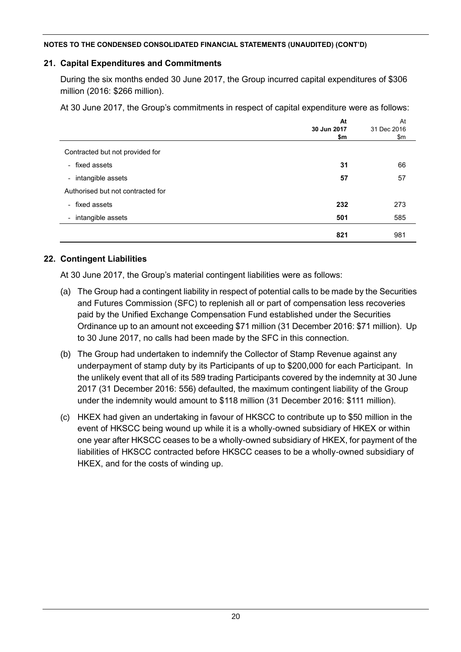### **21. Capital Expenditures and Commitments**

During the six months ended 30 June 2017, the Group incurred capital expenditures of \$306 million (2016: \$266 million).

At 30 June 2017, the Group's commitments in respect of capital expenditure were as follows:

|                                   | At<br>30 Jun 2017 | At<br>31 Dec 2016 |
|-----------------------------------|-------------------|-------------------|
|                                   | \$m               | \$m               |
| Contracted but not provided for   |                   |                   |
| - fixed assets                    | 31                | 66                |
| - intangible assets               | 57                | 57                |
| Authorised but not contracted for |                   |                   |
| - fixed assets                    | 232               | 273               |
| - intangible assets               | 501               | 585               |
|                                   | 821               | 981               |

#### **22. Contingent Liabilities**

At 30 June 2017, the Group's material contingent liabilities were as follows:

- (a) The Group had a contingent liability in respect of potential calls to be made by the Securities and Futures Commission (SFC) to replenish all or part of compensation less recoveries paid by the Unified Exchange Compensation Fund established under the Securities Ordinance up to an amount not exceeding \$71 million (31 December 2016: \$71 million). Up to 30 June 2017, no calls had been made by the SFC in this connection.
- (b) The Group had undertaken to indemnify the Collector of Stamp Revenue against any underpayment of stamp duty by its Participants of up to \$200,000 for each Participant. In the unlikely event that all of its 589 trading Participants covered by the indemnity at 30 June 2017 (31 December 2016: 556) defaulted, the maximum contingent liability of the Group under the indemnity would amount to \$118 million (31 December 2016: \$111 million).
- (c) HKEX had given an undertaking in favour of HKSCC to contribute up to \$50 million in the event of HKSCC being wound up while it is a wholly-owned subsidiary of HKEX or within one year after HKSCC ceases to be a wholly-owned subsidiary of HKEX, for payment of the liabilities of HKSCC contracted before HKSCC ceases to be a wholly-owned subsidiary of HKEX, and for the costs of winding up.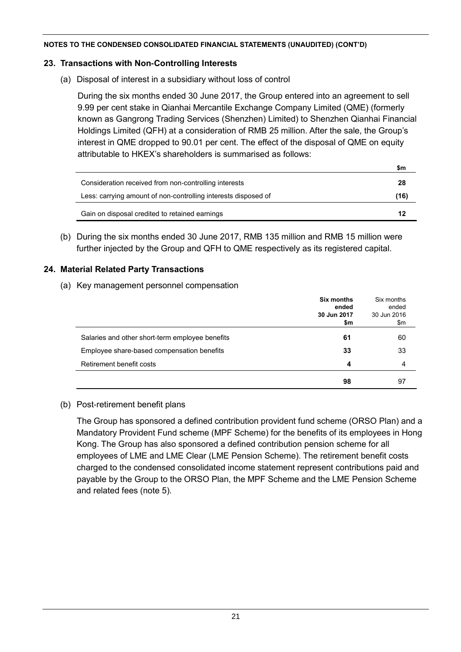#### **23. Transactions with Non-Controlling Interests**

(a) Disposal of interest in a subsidiary without loss of control

During the six months ended 30 June 2017, the Group entered into an agreement to sell 9.99 per cent stake in Qianhai Mercantile Exchange Company Limited (QME) (formerly known as Gangrong Trading Services (Shenzhen) Limited) to Shenzhen Qianhai Financial Holdings Limited (QFH) at a consideration of RMB 25 million. After the sale, the Group's interest in QME dropped to 90.01 per cent. The effect of the disposal of QME on equity attributable to HKEX's shareholders is summarised as follows:

**\$m**

|                                                                | ын   |
|----------------------------------------------------------------|------|
| Consideration received from non-controlling interests          | 28   |
| Less: carrying amount of non-controlling interests disposed of | (16) |
| Gain on disposal credited to retained earnings                 | 12   |

(b) During the six months ended 30 June 2017, RMB 135 million and RMB 15 million were further injected by the Group and QFH to QME respectively as its registered capital.

#### **24. Material Related Party Transactions**

(a) Key management personnel compensation

|                                                 | Six months<br>ended<br>30 Jun 2017 | Six months<br>ended<br>30 Jun 2016 |
|-------------------------------------------------|------------------------------------|------------------------------------|
|                                                 | \$m                                | \$m                                |
| Salaries and other short-term employee benefits | 61                                 | 60                                 |
| Employee share-based compensation benefits      | 33                                 | 33                                 |
| Retirement benefit costs                        | 4                                  | 4                                  |
|                                                 | 98                                 | 97                                 |

#### (b) Post-retirement benefit plans

The Group has sponsored a defined contribution provident fund scheme (ORSO Plan) and a Mandatory Provident Fund scheme (MPF Scheme) for the benefits of its employees in Hong Kong. The Group has also sponsored a defined contribution pension scheme for all employees of LME and LME Clear (LME Pension Scheme). The retirement benefit costs charged to the condensed consolidated income statement represent contributions paid and payable by the Group to the ORSO Plan, the MPF Scheme and the LME Pension Scheme and related fees (note 5).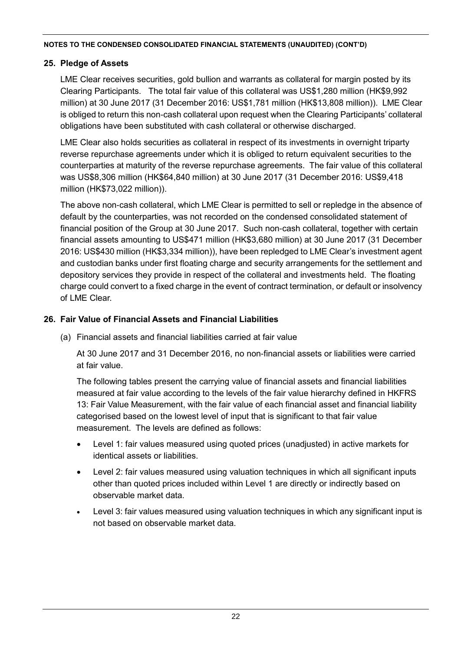## **25. Pledge of Assets**

LME Clear receives securities, gold bullion and warrants as collateral for margin posted by its Clearing Participants. The total fair value of this collateral was US\$1,280 million (HK\$9,992 million) at 30 June 2017 (31 December 2016: US\$1,781 million (HK\$13,808 million)). LME Clear is obliged to return this non-cash collateral upon request when the Clearing Participants' collateral obligations have been substituted with cash collateral or otherwise discharged.

LME Clear also holds securities as collateral in respect of its investments in overnight triparty reverse repurchase agreements under which it is obliged to return equivalent securities to the counterparties at maturity of the reverse repurchase agreements. The fair value of this collateral was US\$8,306 million (HK\$64,840 million) at 30 June 2017 (31 December 2016: US\$9,418 million (HK\$73,022 million)).

The above non-cash collateral, which LME Clear is permitted to sell or repledge in the absence of default by the counterparties, was not recorded on the condensed consolidated statement of financial position of the Group at 30 June 2017. Such non-cash collateral, together with certain financial assets amounting to US\$471 million (HK\$3,680 million) at 30 June 2017 (31 December 2016: US\$430 million (HK\$3,334 million)), have been repledged to LME Clear's investment agent and custodian banks under first floating charge and security arrangements for the settlement and depository services they provide in respect of the collateral and investments held. The floating charge could convert to a fixed charge in the event of contract termination, or default or insolvency of LME Clear.

# **26. Fair Value of Financial Assets and Financial Liabilities**

(a) Financial assets and financial liabilities carried at fair value

At 30 June 2017 and 31 December 2016, no non-financial assets or liabilities were carried at fair value.

The following tables present the carrying value of financial assets and financial liabilities measured at fair value according to the levels of the fair value hierarchy defined in HKFRS 13: Fair Value Measurement, with the fair value of each financial asset and financial liability categorised based on the lowest level of input that is significant to that fair value measurement. The levels are defined as follows:

- Level 1: fair values measured using quoted prices (unadjusted) in active markets for identical assets or liabilities.
- Level 2: fair values measured using valuation techniques in which all significant inputs other than quoted prices included within Level 1 are directly or indirectly based on observable market data.
- Level 3: fair values measured using valuation techniques in which any significant input is not based on observable market data.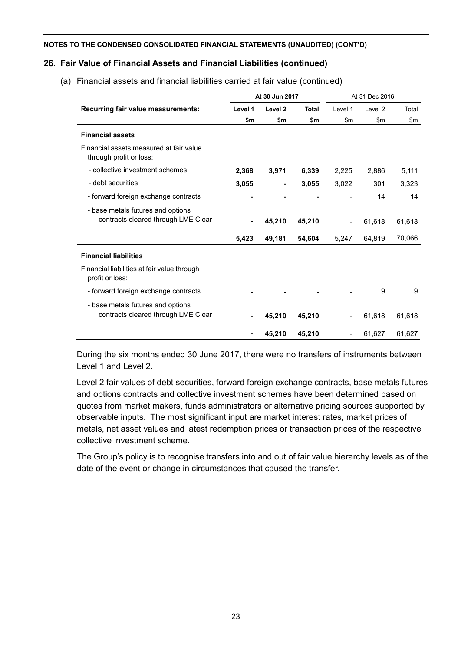## **26. Fair Value of Financial Assets and Financial Liabilities (continued)**

- base metals futures and options

|                                                                          |                | At 30 Jun 2017 |              |                          | At 31 Dec 2016 |        |  |
|--------------------------------------------------------------------------|----------------|----------------|--------------|--------------------------|----------------|--------|--|
| Recurring fair value measurements:                                       | Level 1        | Level 2        | <b>Total</b> | Level 1                  | Level 2        | Total  |  |
|                                                                          | \$m            | \$m            | \$m          | \$m                      | \$m            | \$m    |  |
| <b>Financial assets</b>                                                  |                |                |              |                          |                |        |  |
| Financial assets measured at fair value<br>through profit or loss:       |                |                |              |                          |                |        |  |
| - collective investment schemes                                          | 2,368          | 3,971          | 6,339        | 2,225                    | 2,886          | 5,111  |  |
| - debt securities                                                        | 3,055          | $\blacksquare$ | 3,055        | 3,022                    | 301            | 3,323  |  |
| - forward foreign exchange contracts                                     |                | $\blacksquare$ |              |                          | 14             | 14     |  |
| - base metals futures and options<br>contracts cleared through LME Clear | $\blacksquare$ | 45,210         | 45,210       | $\overline{\phantom{a}}$ | 61,618         | 61,618 |  |
|                                                                          | 5,423          | 49,181         | 54,604       | 5,247                    | 64,819         | 70,066 |  |
| <b>Financial liabilities</b>                                             |                |                |              |                          |                |        |  |
| Financial liabilities at fair value through<br>profit or loss:           |                |                |              |                          |                |        |  |

(a) Financial assets and financial liabilities carried at fair value (continued)

During the six months ended 30 June 2017, there were no transfers of instruments between Level 1 and Level 2.

- forward foreign exchange contracts **- - -** - 9 9

contracts cleared through LME Clear **- 45,210 45,210** - 61,618 61,618

- 61,618 61,618 61,618 61,618 61,618 61,618 61,618 61,618 61,618 61,618 61,618 61,618 61,618 61,618 61,618 61,<br>- 51,618 61,618 61,618 61,618 61,618 61,618 61,618 61,618 61,618 61,618 61,618 61,618 61,618 61,618 61,618 61

**- 45,210 45,210** - 61,627 61,627

Level 2 fair values of debt securities, forward foreign exchange contracts, base metals futures and options contracts and collective investment schemes have been determined based on quotes from market makers, funds administrators or alternative pricing sources supported by observable inputs. The most significant input are market interest rates, market prices of metals, net asset values and latest redemption prices or transaction prices of the respective collective investment scheme.

The Group's policy is to recognise transfers into and out of fair value hierarchy levels as of the date of the event or change in circumstances that caused the transfer.